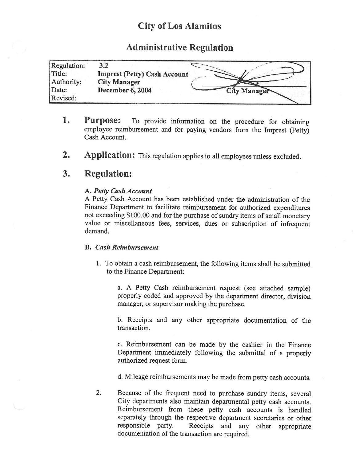## City of Los Alamitos

## Administrative Regulation

| Regulation: |                                     |                     |
|-------------|-------------------------------------|---------------------|
| Title:      | <b>Imprest (Petty) Cash Account</b> |                     |
| Authority:  | <b>City Manager</b>                 |                     |
| Date:       | December 6, 2004                    | <b>City Manager</b> |
| Revised:    |                                     |                     |

- 1. Purpose: To provide information on the procedure for obtaining employee reimbursement and for paying vendors from the Imprest (Petty) Cash Account.
- 2. Application: This regulation applies to all employees unless excluded.

## 3. Regulation:

### A. Petty Cash Account

A Petty Cash Account has been established under the administration of the Finance Department to facilitate reimbursement for authorized expenditures not exceeding \$ 100.00 and for the purchase of sundry items of small monetary value or miscellaneous fees, services, dues or subscription of infrequent demand.

#### B. Cash Reimbursement

1. To obtain a cash reimbursement, the following items shall be submitted to the Finance Department:

a. A Petty Cash reimbursement request ( see attached sample) properly coded and approved by the department director, division manager, or supervisor making the purchase.

b. Receipts and any other appropriate documentation of the transaction.

c. Reimbursement can be made by the cashier in the Finance Department immediately following the submittal of <sup>a</sup> properly authorized request form.

d. Mileage reimbursements may be made from petty cash accounts.

2. Because of the frequent need to purchase sundry items, several City departments also maintain departmental petty cash accounts. Reimbursement from these petty cash accounts is handled separately through the respective department secretaries or other<br>responsible party. Receipts and any other appropriate Receipts and any other appropriate documentation of the transaction are required.